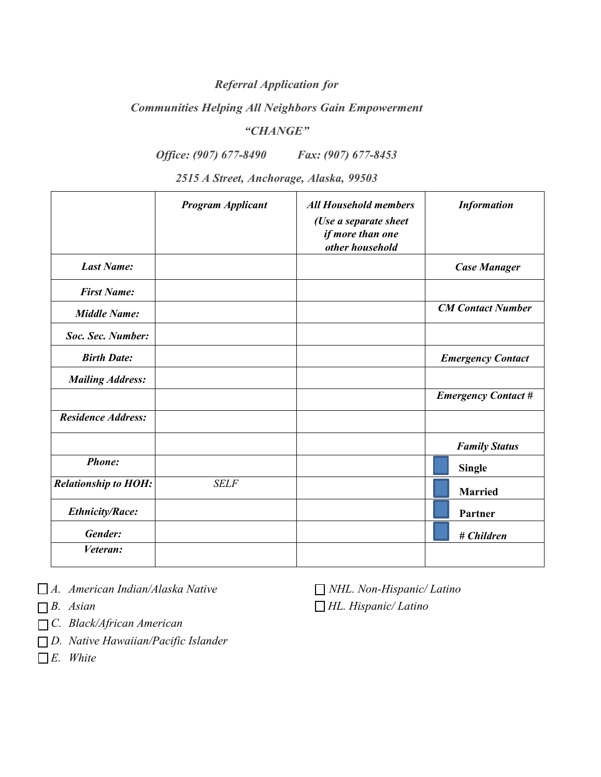# *Referral Application for*

### *Communities Helping All Neighbors Gain Empowerment*

### *"CHANGE"*

# *Office: (907) 677-8490 Fax: (907) 677-8453*

*2515 A Street, Anchorage, Alaska, 99503* 

|                             | <b>Program Applicant</b> | <b>All Household members</b><br>(Use a separate sheet<br>if more than one<br>other household | <b>Information</b>         |
|-----------------------------|--------------------------|----------------------------------------------------------------------------------------------|----------------------------|
| <b>Last Name:</b>           |                          |                                                                                              | <b>Case Manager</b>        |
| <b>First Name:</b>          |                          |                                                                                              |                            |
| <b>Middle Name:</b>         |                          |                                                                                              | <b>CM Contact Number</b>   |
| Soc. Sec. Number:           |                          |                                                                                              |                            |
| <b>Birth Date:</b>          |                          |                                                                                              | <b>Emergency Contact</b>   |
| <b>Mailing Address:</b>     |                          |                                                                                              |                            |
|                             |                          |                                                                                              | <b>Emergency Contact #</b> |
| <b>Residence Address:</b>   |                          |                                                                                              |                            |
|                             |                          |                                                                                              | <b>Family Status</b>       |
| Phone:                      |                          |                                                                                              | <b>Single</b>              |
| <b>Relationship to HOH:</b> | <b>SELF</b>              |                                                                                              | <b>Married</b>             |
| <b>Ethnicity/Race:</b>      |                          |                                                                                              | Partner                    |
| Gender:                     |                          |                                                                                              | # Children                 |
| Veteran:                    |                          |                                                                                              |                            |

*A. American Indian/Alaska Native NHL. Non-Hispanic/ Latino*

- 
- *C. Black/African American*
- *D. Native Hawaiian/Pacific Islander*
- *E. White*

*B. Asian HL. Hispanic/ Latino*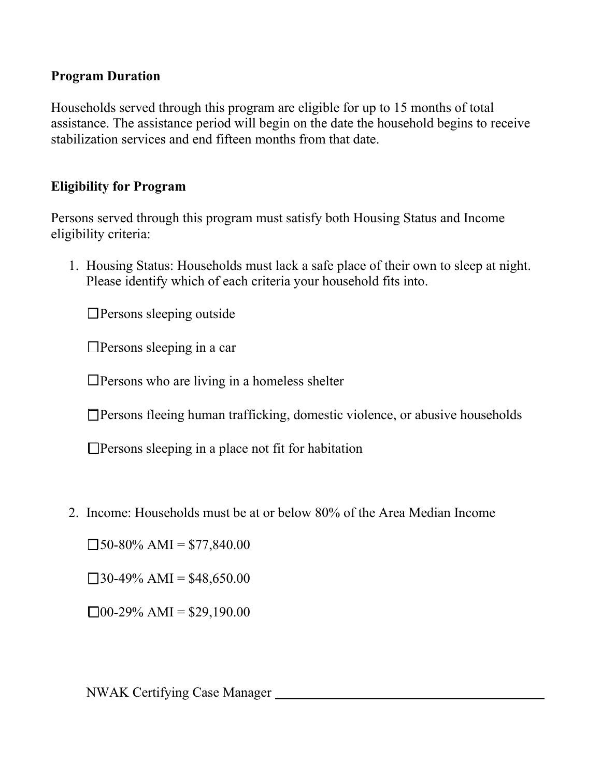# **Program Duration**

Households served through this program are eligible for up to 15 months of total assistance. The assistance period will begin on the date the household begins to receive stabilization services and end fifteen months from that date.

# **Eligibility for Program**

Persons served through this program must satisfy both Housing Status and Income eligibility criteria:

1. Housing Status: Households must lack a safe place of their own to sleep at night. Please identify which of each criteria your household fits into.

☐Persons sleeping outside

☐Persons sleeping in a car

☐Persons who are living in a homeless shelter

☐Persons fleeing human trafficking, domestic violence, or abusive households

 $\Box$ Persons sleeping in a place not fit for habitation

2. Income: Households must be at or below 80% of the Area Median Income

 $\square$ 50-80% AMI = \$77,840.00

 $\Box$ 30-49% AMI = \$48,650.00

 $\Box$ 00-29% AMI = \$29,190.00

NWAK Certifying Case Manager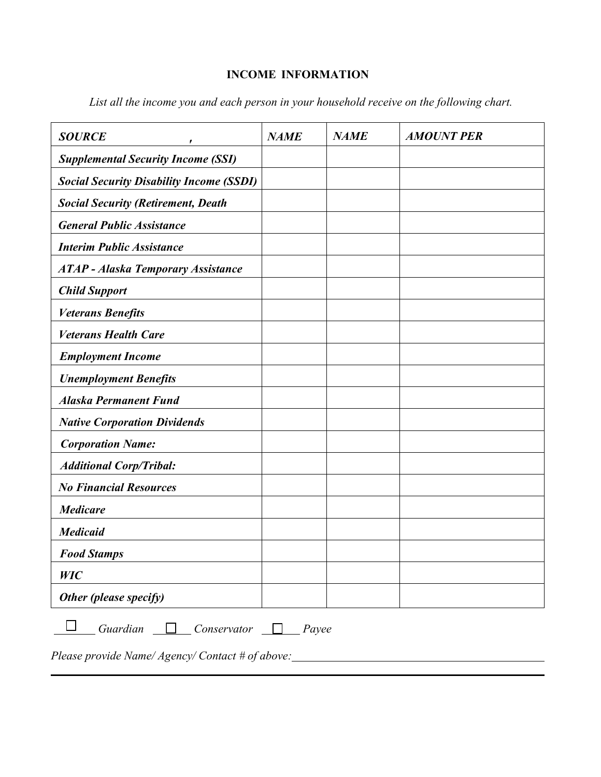# **INCOME INFORMATION**

| <b>SOURCE</b>                                                                                             | <b>NAME</b> | <b>NAME</b> | <b>AMOUNT PER</b> |  |
|-----------------------------------------------------------------------------------------------------------|-------------|-------------|-------------------|--|
| <b>Supplemental Security Income (SSI)</b>                                                                 |             |             |                   |  |
| <b>Social Security Disability Income (SSDI)</b>                                                           |             |             |                   |  |
| <b>Social Security (Retirement, Death</b>                                                                 |             |             |                   |  |
| <b>General Public Assistance</b>                                                                          |             |             |                   |  |
| <b>Interim Public Assistance</b>                                                                          |             |             |                   |  |
| <b>ATAP</b> - Alaska Temporary Assistance                                                                 |             |             |                   |  |
| <b>Child Support</b>                                                                                      |             |             |                   |  |
| <b>Veterans Benefits</b>                                                                                  |             |             |                   |  |
| <b>Veterans Health Care</b>                                                                               |             |             |                   |  |
| <b>Employment Income</b>                                                                                  |             |             |                   |  |
| <b>Unemployment Benefits</b>                                                                              |             |             |                   |  |
| <b>Alaska Permanent Fund</b>                                                                              |             |             |                   |  |
| <b>Native Corporation Dividends</b>                                                                       |             |             |                   |  |
| <b>Corporation Name:</b>                                                                                  |             |             |                   |  |
| <b>Additional Corp/Tribal:</b>                                                                            |             |             |                   |  |
| <b>No Financial Resources</b>                                                                             |             |             |                   |  |
| <b>Medicare</b>                                                                                           |             |             |                   |  |
| <b>Medicaid</b>                                                                                           |             |             |                   |  |
| <b>Food Stamps</b>                                                                                        |             |             |                   |  |
| WIC                                                                                                       |             |             |                   |  |
| Other (please specify)                                                                                    |             |             |                   |  |
| Guardian<br>Conservator<br>Payee<br>$D_{2000}$ provide $N$ ame $\ell$ <i>Looper Contact</i> $\#$ of above |             |             |                   |  |

*List all the income you and each person in your household receive on the following chart.* 

*Please provide Name/ Agency/ Contact # of above:*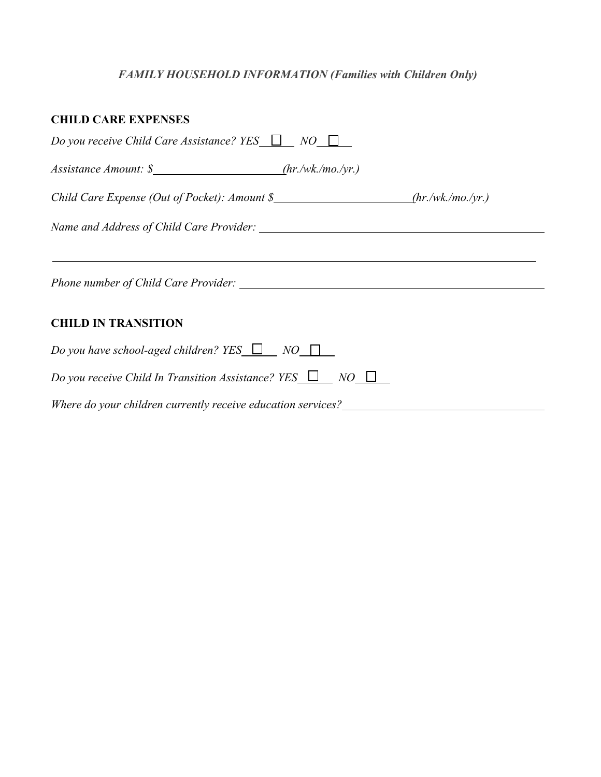# *FAMILY HOUSEHOLD INFORMATION (Families with Children Only)*

| <b>CHILD CARE EXPENSES</b>                                                             |
|----------------------------------------------------------------------------------------|
| Do you receive Child Care Assistance? YES $\Box$ NO $\Box$                             |
| Assistance Amount: \$ ____________________________(hr./wk./mo./yr.)                    |
| Child Care Expense (Out of Pocket): Amount \$________________________(hr./wk./mo./yr.) |
|                                                                                        |
|                                                                                        |
| <b>CHILD IN TRANSITION</b>                                                             |
| Do you have school-aged children? YES $\Box$ NO $\Box$                                 |
| Do you receive Child In Transition Assistance? YES $\Box$ NO $\Box$                    |
| Where do your children currently receive education services?                           |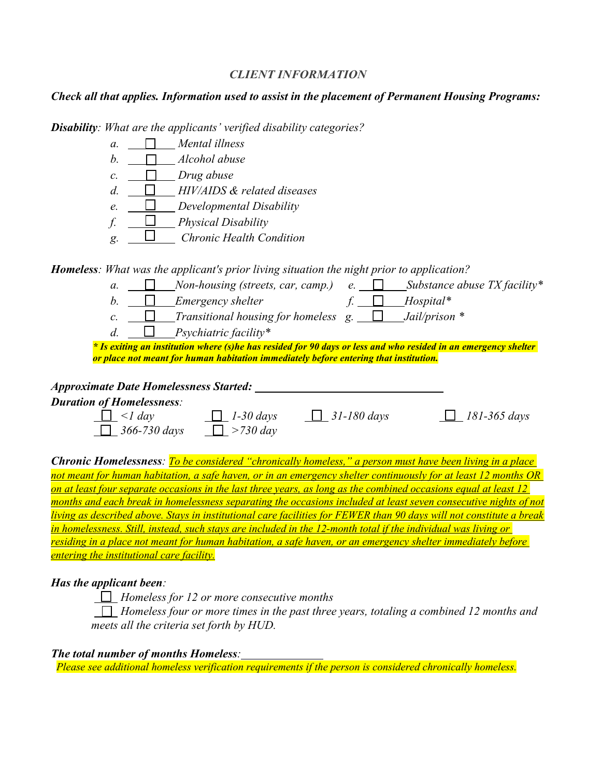#### *CLIENT INFORMATION*

### *Check all that applies. Information used to assist in the placement of Permanent Housing Programs:*

*Disability: What are the applicants' verified disability categories?* 



*Homeless: What was the applicant's prior living situation the night prior to application?*

| a.                                            |               | Non-housing (streets, car, camp.)                                                                                                                                                                        | e.              |                 | Substance abuse $TX$ facility* |
|-----------------------------------------------|---------------|----------------------------------------------------------------------------------------------------------------------------------------------------------------------------------------------------------|-----------------|-----------------|--------------------------------|
| b.                                            |               | <b>Emergency shelter</b>                                                                                                                                                                                 |                 | $Hospital*$     |                                |
| $\mathcal{C}$ .                               |               | Transitional housing for homeless g.                                                                                                                                                                     |                 | Jail/prison $*$ |                                |
| $d$ .                                         |               | Psychiatric facility*                                                                                                                                                                                    |                 |                 |                                |
|                                               |               | * Is exiting an institution where (s)he has resided for 90 days or less and who resided in an emergency shelter<br>or place not meant for human habitation immediately before entering that institution. |                 |                 |                                |
| <b>Approximate Date Homelessness Started:</b> |               |                                                                                                                                                                                                          |                 |                 |                                |
| <b>Duration of Homelessness:</b>              |               |                                                                                                                                                                                                          |                 |                 |                                |
|                                               | $\langle$ day | $1-30 \; days$                                                                                                                                                                                           | $31 - 180$ days |                 | 181-365 days                   |
|                                               | 366-730 days  | $>730$ day                                                                                                                                                                                               |                 |                 |                                |

*Chronic Homelessness: To be considered "chronically homeless," a person must have been living in a place not meant for human habitation, a safe haven, or in an emergency shelter continuously for at least 12 months OR on at least four separate occasions in the last three years, as long as the combined occasions equal at least 12 months and each break in homelessness separating the occasions included at least seven consecutive nights of not living as described above. Stays in institutional care facilities for FEWER than 90 days will not constitute a break in homelessness. Still, instead, such stays are included in the 12-month total if the individual was living or residing in a place not meant for human habitation, a safe haven, or an emergency shelter immediately before entering the institutional care facility.* 

### *Has the applicant been:*

 *Homeless for 12 or more consecutive months* 

 *Homeless four or more times in the past three years, totaling a combined 12 months and meets all the criteria set forth by HUD.* 

### *The total number of months Homeless:*

*Please see additional homeless verification requirements if the person is considered chronically homeless.*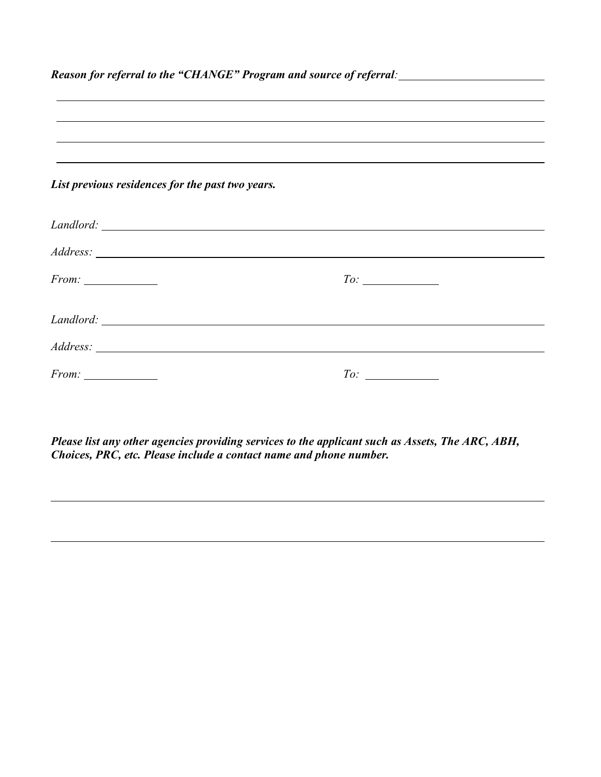| Reason for referral to the "CHANGE" Program and source of referral: ________________________________ |                                                                                  |  |  |
|------------------------------------------------------------------------------------------------------|----------------------------------------------------------------------------------|--|--|
|                                                                                                      | ,我们也不会有什么?""我们的人,我们也不会有什么?""我们的人,我们也不会有什么?""我们的人,我们也不会有什么?""我们的人,我们也不会有什么?""我们的人 |  |  |
|                                                                                                      |                                                                                  |  |  |
|                                                                                                      |                                                                                  |  |  |
|                                                                                                      | ,我们也不会有什么。""我们的人,我们也不会有什么?""我们的人,我们也不会有什么?""我们的人,我们也不会有什么?""我们的人,我们也不会有什么?""我们的人 |  |  |
| List previous residences for the past two years.                                                     |                                                                                  |  |  |
|                                                                                                      |                                                                                  |  |  |
|                                                                                                      |                                                                                  |  |  |
|                                                                                                      | To:                                                                              |  |  |
|                                                                                                      |                                                                                  |  |  |
|                                                                                                      |                                                                                  |  |  |
| $From: \_\_$                                                                                         | $To: \_\_$                                                                       |  |  |

*Please list any other agencies providing services to the applicant such as Assets, The ARC, ABH, Choices, PRC, etc. Please include a contact name and phone number.*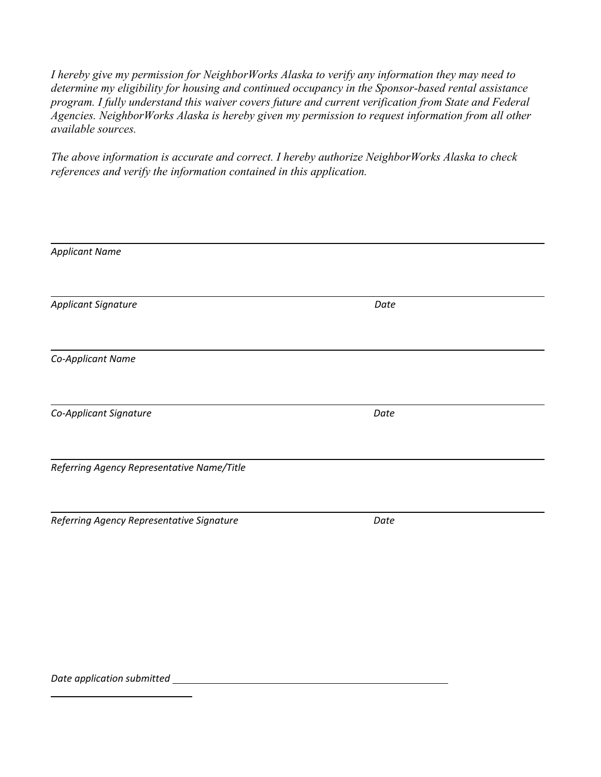*I hereby give my permission for NeighborWorks Alaska to verify any information they may need to determine my eligibility for housing and continued occupancy in the Sponsor-based rental assistance program. I fully understand this waiver covers future and current verification from State and Federal Agencies. NeighborWorks Alaska is hereby given my permission to request information from all other available sources.* 

*The above information is accurate and correct. I hereby authorize NeighborWorks Alaska to check references and verify the information contained in this application.* 

| <b>Applicant Name</b>                      |      |  |
|--------------------------------------------|------|--|
|                                            |      |  |
|                                            |      |  |
| <b>Applicant Signature</b>                 | Date |  |
|                                            |      |  |
|                                            |      |  |
| Co-Applicant Name                          |      |  |
|                                            |      |  |
|                                            |      |  |
| Co-Applicant Signature                     | Date |  |
|                                            |      |  |
|                                            |      |  |
| Referring Agency Representative Name/Title |      |  |
|                                            |      |  |
|                                            |      |  |
| Referring Agency Representative Signature  | Date |  |
|                                            |      |  |

*Date application submitted*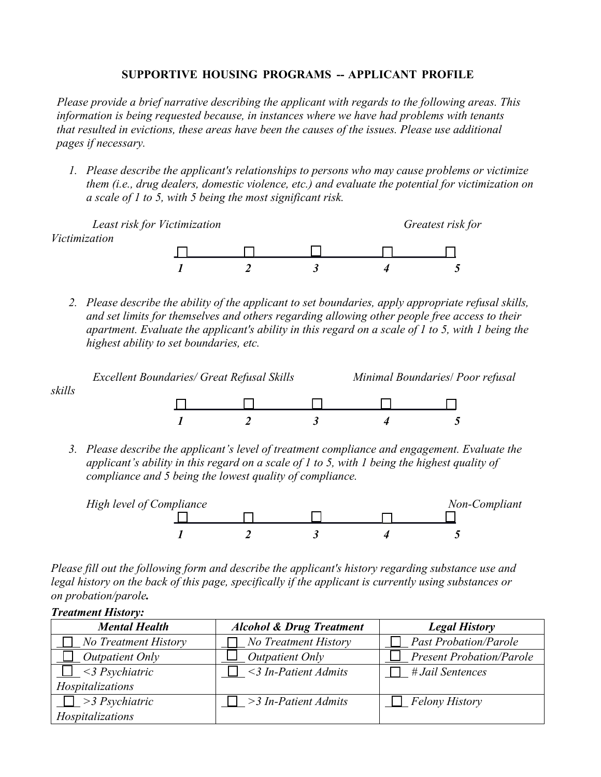### **SUPPORTIVE HOUSING PROGRAMS -- APPLICANT PROFILE**

*Please provide a brief narrative describing the applicant with regards to the following areas. This information is being requested because, in instances where we have had problems with tenants that resulted in evictions, these areas have been the causes of the issues. Please use additional pages if necessary.*

*1. Please describe the applicant's relationships to persons who may cause problems or victimize them (i.e., drug dealers, domestic violence, etc.) and evaluate the potential for victimization on a scale of 1 to 5, with 5 being the most significant risk.*

 *Least risk for Victimization Greatest risk for Victimization 1 2 3 4 5* 

*2. Please describe the ability of the applicant to set boundaries, apply appropriate refusal skills, and set limits for themselves and others regarding allowing other people free access to their apartment. Evaluate the applicant's ability in this regard on a scale of 1 to 5, with 1 being the highest ability to set boundaries, etc.* 



*3. Please describe the applicant's level of treatment compliance and engagement. Evaluate the applicant's ability in this regard on a scale of 1 to 5, with 1 being the highest quality of compliance and 5 being the lowest quality of compliance.* 



*Please fill out the following form and describe the applicant's history regarding substance use and legal history on the back of this page, specifically if the applicant is currently using substances or on probation/parole.* 

| <b>Treatment History:</b>   |                                     |                                 |
|-----------------------------|-------------------------------------|---------------------------------|
| <b>Mental Health</b>        | <b>Alcohol &amp; Drug Treatment</b> | <b>Legal History</b>            |
| $\Box$ No Treatment History | <b>No Treatment History</b>         | <b>Past Probation/Parole</b>    |
| Outpatient Only             | Outpatient Only                     | <b>Present Probation/Parole</b> |
| $\leq$ 3 Psychiatric        | $\leq$ 3 In-Patient Admits          | # Jail Sentences                |
| Hospitalizations            |                                     |                                 |
| $\Box$ > 3 Psychiatric      | $\Box$ > 3 In-Patient Admits        | $\Box$ Felony History           |
| Hospitalizations            |                                     |                                 |